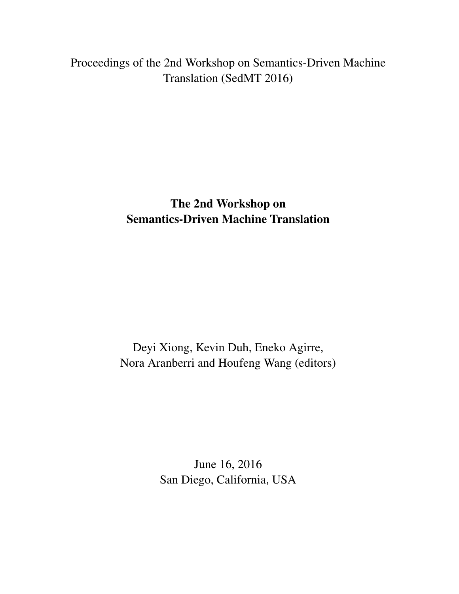<span id="page-0-0"></span>Proceedings of the 2nd Workshop on Semantics-Driven Machine Translation (SedMT 2016)

> The 2nd Workshop on Semantics-Driven Machine Translation

Deyi Xiong, Kevin Duh, Eneko Agirre, Nora Aranberri and Houfeng Wang (editors)

> June 16, 2016 San Diego, California, USA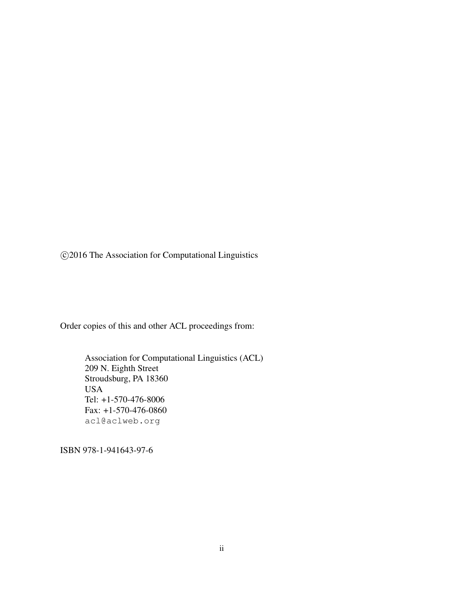c 2016 The Association for Computational Linguistics

Order copies of this and other ACL proceedings from:

Association for Computational Linguistics (ACL) 209 N. Eighth Street Stroudsburg, PA 18360 USA Tel: +1-570-476-8006 Fax: +1-570-476-0860 acl@aclweb.org

ISBN 978-1-941643-97-6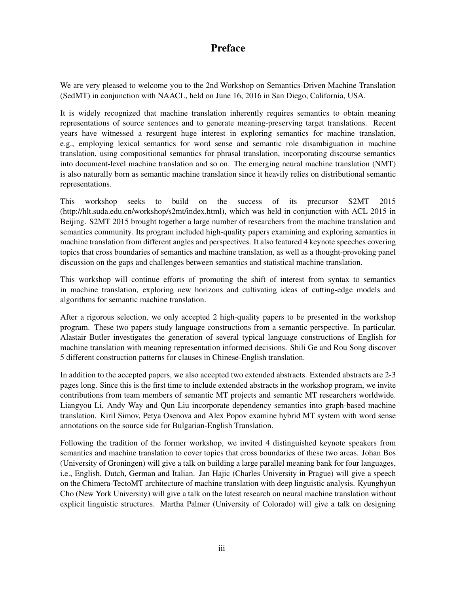# Preface

We are very pleased to welcome you to the 2nd Workshop on Semantics-Driven Machine Translation (SedMT) in conjunction with NAACL, held on June 16, 2016 in San Diego, California, USA.

It is widely recognized that machine translation inherently requires semantics to obtain meaning representations of source sentences and to generate meaning-preserving target translations. Recent years have witnessed a resurgent huge interest in exploring semantics for machine translation, e.g., employing lexical semantics for word sense and semantic role disambiguation in machine translation, using compositional semantics for phrasal translation, incorporating discourse semantics into document-level machine translation and so on. The emerging neural machine translation (NMT) is also naturally born as semantic machine translation since it heavily relies on distributional semantic representations.

This workshop seeks to build on the success of its precursor S2MT 2015 (http://hlt.suda.edu.cn/workshop/s2mt/index.html), which was held in conjunction with ACL 2015 in Beijing. S2MT 2015 brought together a large number of researchers from the machine translation and semantics community. Its program included high-quality papers examining and exploring semantics in machine translation from different angles and perspectives. It also featured 4 keynote speeches covering topics that cross boundaries of semantics and machine translation, as well as a thought-provoking panel discussion on the gaps and challenges between semantics and statistical machine translation.

This workshop will continue efforts of promoting the shift of interest from syntax to semantics in machine translation, exploring new horizons and cultivating ideas of cutting-edge models and algorithms for semantic machine translation.

After a rigorous selection, we only accepted 2 high-quality papers to be presented in the workshop program. These two papers study language constructions from a semantic perspective. In particular, Alastair Butler investigates the generation of several typical language constructions of English for machine translation with meaning representation informed decisions. Shili Ge and Rou Song discover 5 different construction patterns for clauses in Chinese-English translation.

In addition to the accepted papers, we also accepted two extended abstracts. Extended abstracts are 2-3 pages long. Since this is the first time to include extended abstracts in the workshop program, we invite contributions from team members of semantic MT projects and semantic MT researchers worldwide. Liangyou Li, Andy Way and Qun Liu incorporate dependency semantics into graph-based machine translation. Kiril Simov, Petya Osenova and Alex Popov examine hybrid MT system with word sense annotations on the source side for Bulgarian-English Translation.

Following the tradition of the former workshop, we invited 4 distinguished keynote speakers from semantics and machine translation to cover topics that cross boundaries of these two areas. Johan Bos (University of Groningen) will give a talk on building a large parallel meaning bank for four languages, i.e., English, Dutch, German and Italian. Jan Hajic (Charles University in Prague) will give a speech on the Chimera-TectoMT architecture of machine translation with deep linguistic analysis. Kyunghyun Cho (New York University) will give a talk on the latest research on neural machine translation without explicit linguistic structures. Martha Palmer (University of Colorado) will give a talk on designing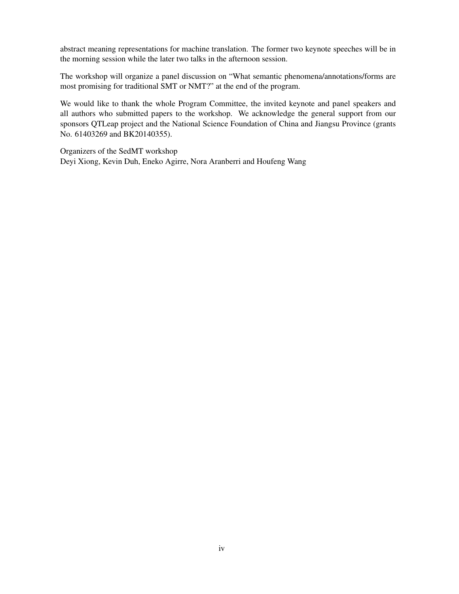abstract meaning representations for machine translation. The former two keynote speeches will be in the morning session while the later two talks in the afternoon session.

The workshop will organize a panel discussion on "What semantic phenomena/annotations/forms are most promising for traditional SMT or NMT?" at the end of the program.

We would like to thank the whole Program Committee, the invited keynote and panel speakers and all authors who submitted papers to the workshop. We acknowledge the general support from our sponsors QTLeap project and the National Science Foundation of China and Jiangsu Province (grants No. 61403269 and BK20140355).

Organizers of the SedMT workshop Deyi Xiong, Kevin Duh, Eneko Agirre, Nora Aranberri and Houfeng Wang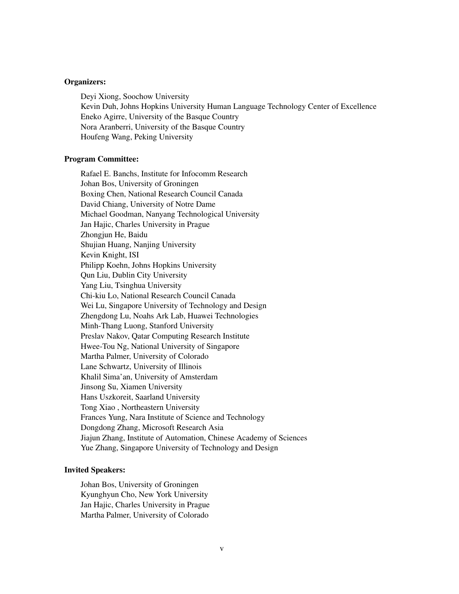#### Organizers:

Deyi Xiong, Soochow University Kevin Duh, Johns Hopkins University Human Language Technology Center of Excellence Eneko Agirre, University of the Basque Country Nora Aranberri, University of the Basque Country Houfeng Wang, Peking University

#### Program Committee:

Rafael E. Banchs, Institute for Infocomm Research Johan Bos, University of Groningen Boxing Chen, National Research Council Canada David Chiang, University of Notre Dame Michael Goodman, Nanyang Technological University Jan Hajic, Charles University in Prague Zhongjun He, Baidu Shujian Huang, Nanjing University Kevin Knight, ISI Philipp Koehn, Johns Hopkins University Qun Liu, Dublin City University Yang Liu, Tsinghua University Chi-kiu Lo, National Research Council Canada Wei Lu, Singapore University of Technology and Design Zhengdong Lu, Noahs Ark Lab, Huawei Technologies Minh-Thang Luong, Stanford University Preslav Nakov, Qatar Computing Research Institute Hwee-Tou Ng, National University of Singapore Martha Palmer, University of Colorado Lane Schwartz, University of Illinois Khalil Sima'an, University of Amsterdam Jinsong Su, Xiamen University Hans Uszkoreit, Saarland University Tong Xiao , Northeastern University Frances Yung, Nara Institute of Science and Technology Dongdong Zhang, Microsoft Research Asia Jiajun Zhang, Institute of Automation, Chinese Academy of Sciences Yue Zhang, Singapore University of Technology and Design

#### Invited Speakers:

Johan Bos, University of Groningen Kyunghyun Cho, New York University Jan Hajic, Charles University in Prague Martha Palmer, University of Colorado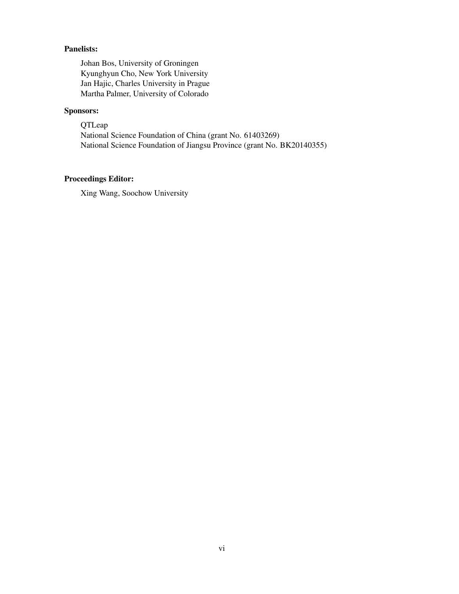#### Panelists:

Johan Bos, University of Groningen Kyunghyun Cho, New York University Jan Hajic, Charles University in Prague Martha Palmer, University of Colorado

#### Sponsors:

QTLeap National Science Foundation of China (grant No. 61403269) National Science Foundation of Jiangsu Province (grant No. BK20140355)

### Proceedings Editor:

Xing Wang, Soochow University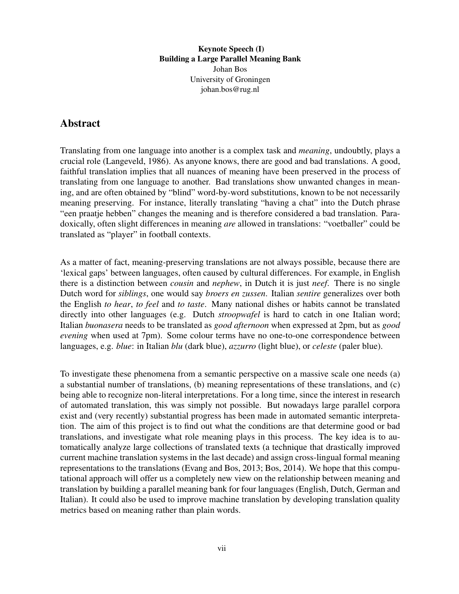Keynote Speech (I) Building a Large Parallel Meaning Bank Johan Bos University of Groningen johan.bos@rug.nl

## <span id="page-6-0"></span>Abstract

Translating from one language into another is a complex task and *meaning*, undoubtly, plays a crucial role (Langeveld, 1986). As anyone knows, there are good and bad translations. A good, faithful translation implies that all nuances of meaning have been preserved in the process of translating from one language to another. Bad translations show unwanted changes in meaning, and are often obtained by "blind" word-by-word substitutions, known to be not necessarily meaning preserving. For instance, literally translating "having a chat" into the Dutch phrase "een praatje hebben" changes the meaning and is therefore considered a bad translation. Paradoxically, often slight differences in meaning *are* allowed in translations: "voetballer" could be translated as "player" in football contexts.

As a matter of fact, meaning-preserving translations are not always possible, because there are 'lexical gaps' between languages, often caused by cultural differences. For example, in English there is a distinction between *cousin* and *nephew*, in Dutch it is just *neef*. There is no single Dutch word for *siblings*, one would say *broers en zussen*. Italian *sentire* generalizes over both the English *to hear*, *to feel* and *to taste*. Many national dishes or habits cannot be translated directly into other languages (e.g. Dutch *stroopwafel* is hard to catch in one Italian word; Italian *buonasera* needs to be translated as *good afternoon* when expressed at 2pm, but as *good evening* when used at 7pm). Some colour terms have no one-to-one correspondence between languages, e.g. *blue*: in Italian *blu* (dark blue), *azzurro* (light blue), or *celeste* (paler blue).

To investigate these phenomena from a semantic perspective on a massive scale one needs (a) a substantial number of translations, (b) meaning representations of these translations, and (c) being able to recognize non-literal interpretations. For a long time, since the interest in research of automated translation, this was simply not possible. But nowadays large parallel corpora exist and (very recently) substantial progress has been made in automated semantic interpretation. The aim of this project is to find out what the conditions are that determine good or bad translations, and investigate what role meaning plays in this process. The key idea is to automatically analyze large collections of translated texts (a technique that drastically improved current machine translation systems in the last decade) and assign cross-lingual formal meaning representations to the translations (Evang and Bos, 2013; Bos, 2014). We hope that this computational approach will offer us a completely new view on the relationship between meaning and translation by building a parallel meaning bank for four languages (English, Dutch, German and Italian). It could also be used to improve machine translation by developing translation quality metrics based on meaning rather than plain words.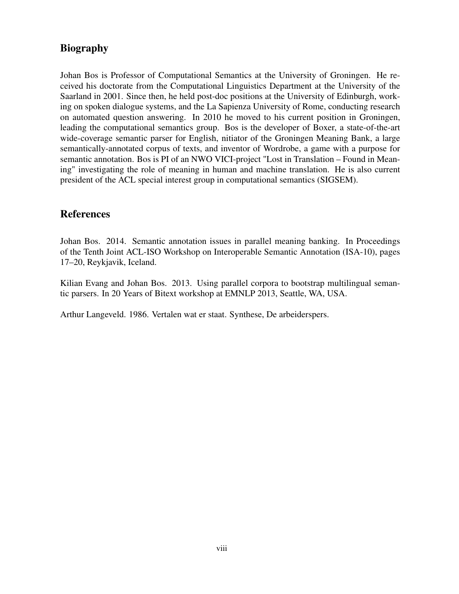# Biography

Johan Bos is Professor of Computational Semantics at the University of Groningen. He received his doctorate from the Computational Linguistics Department at the University of the Saarland in 2001. Since then, he held post-doc positions at the University of Edinburgh, working on spoken dialogue systems, and the La Sapienza University of Rome, conducting research on automated question answering. In 2010 he moved to his current position in Groningen, leading the computational semantics group. Bos is the developer of Boxer, a state-of-the-art wide-coverage semantic parser for English, nitiator of the Groningen Meaning Bank, a large semantically-annotated corpus of texts, and inventor of Wordrobe, a game with a purpose for semantic annotation. Bos is PI of an NWO VICI-project "Lost in Translation – Found in Meaning" investigating the role of meaning in human and machine translation. He is also current president of the ACL special interest group in computational semantics (SIGSEM).

### References

Johan Bos. 2014. Semantic annotation issues in parallel meaning banking. In Proceedings of the Tenth Joint ACL-ISO Workshop on Interoperable Semantic Annotation (ISA-10), pages 17–20, Reykjavik, Iceland.

Kilian Evang and Johan Bos. 2013. Using parallel corpora to bootstrap multilingual semantic parsers. In 20 Years of Bitext workshop at EMNLP 2013, Seattle, WA, USA.

Arthur Langeveld. 1986. Vertalen wat er staat. Synthese, De arbeiderspers.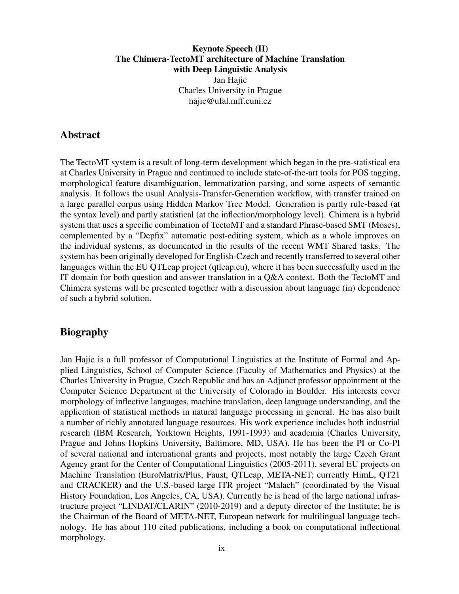#### <span id="page-8-0"></span>Keynote Speech (II) The Chimera-TectoMT architecture of Machine Translation with Deep Linguistic Analysis Jan Hajic Charles University in Prague hajic@ufal.mff.cuni.cz

#### Abstract

The TectoMT system is a result of long-term development which began in the pre-statistical era at Charles University in Prague and continued to include state-of-the-art tools for POS tagging, morphological feature disambiguation, lemmatization parsing, and some aspects of semantic analysis. It follows the usual Analysis-Transfer-Generation workflow, with transfer trained on a large parallel corpus using Hidden Markov Tree Model. Generation is partly rule-based (at the syntax level) and partly statistical (at the inflection/morphology level). Chimera is a hybrid system that uses a specific combination of TectoMT and a standard Phrase-based SMT (Moses), complemented by a "Depfix" automatic post-editing system, which as a whole improves on the individual systems, as documented in the results of the recent WMT Shared tasks. The system has been originally developed for English-Czech and recently transferred to several other languages within the EU QTLeap project (qtleap.eu), where it has been successfully used in the IT domain for both question and answer translation in a Q&A context. Both the TectoMT and Chimera systems will be presented together with a discussion about language (in) dependence of such a hybrid solution.

#### Biography

Jan Hajic is a full professor of Computational Linguistics at the Institute of Formal and Applied Linguistics, School of Computer Science (Faculty of Mathematics and Physics) at the Charles University in Prague, Czech Republic and has an Adjunct professor appointment at the Computer Science Department at the University of Colorado in Boulder. His interests cover morphology of inflective languages, machine translation, deep language understanding, and the application of statistical methods in natural language processing in general. He has also built a number of richly annotated language resources. His work experience includes both industrial research (IBM Research, Yorktown Heights, 1991-1993) and academia (Charles University, Prague and Johns Hopkins University, Baltimore, MD, USA). He has been the PI or Co-PI of several national and international grants and projects, most notably the large Czech Grant Agency grant for the Center of Computational Linguistics (2005-2011), several EU projects on Machine Translation (EuroMatrix/Plus, Faust, QTLeap, META-NET; currently HimL, QT21 and CRACKER) and the U.S.-based large ITR project "Malach" (coordinated by the Visual History Foundation, Los Angeles, CA, USA). Currently he is head of the large national infrastructure project "LINDAT/CLARIN" (2010-2019) and a deputy director of the Institute; he is the Chairman of the Board of META-NET, European network for multilingual language technology. He has about 110 cited publications, including a book on computational inflectional morphology.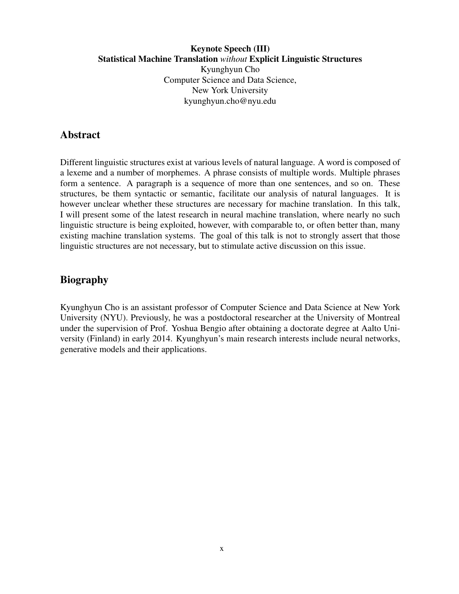#### <span id="page-9-0"></span>Keynote Speech (III) Statistical Machine Translation *without* Explicit Linguistic Structures Kyunghyun Cho Computer Science and Data Science, New York University kyunghyun.cho@nyu.edu

### Abstract

Different linguistic structures exist at various levels of natural language. A word is composed of a lexeme and a number of morphemes. A phrase consists of multiple words. Multiple phrases form a sentence. A paragraph is a sequence of more than one sentences, and so on. These structures, be them syntactic or semantic, facilitate our analysis of natural languages. It is however unclear whether these structures are necessary for machine translation. In this talk, I will present some of the latest research in neural machine translation, where nearly no such linguistic structure is being exploited, however, with comparable to, or often better than, many existing machine translation systems. The goal of this talk is not to strongly assert that those linguistic structures are not necessary, but to stimulate active discussion on this issue.

## Biography

Kyunghyun Cho is an assistant professor of Computer Science and Data Science at New York University (NYU). Previously, he was a postdoctoral researcher at the University of Montreal under the supervision of Prof. Yoshua Bengio after obtaining a doctorate degree at Aalto University (Finland) in early 2014. Kyunghyun's main research interests include neural networks, generative models and their applications.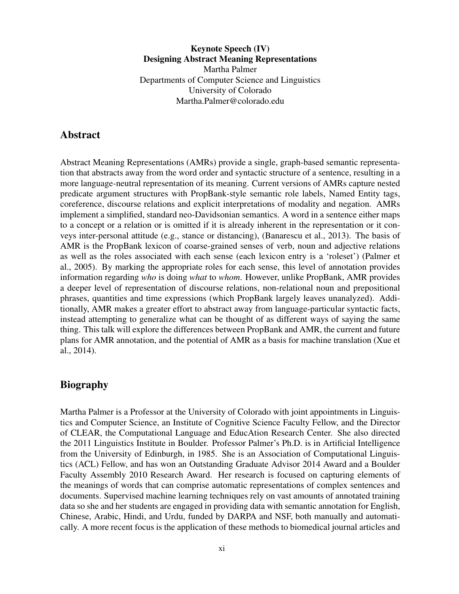<span id="page-10-0"></span>Keynote Speech (IV) Designing Abstract Meaning Representations Martha Palmer Departments of Computer Science and Linguistics University of Colorado Martha.Palmer@colorado.edu

#### Abstract

Abstract Meaning Representations (AMRs) provide a single, graph-based semantic representation that abstracts away from the word order and syntactic structure of a sentence, resulting in a more language-neutral representation of its meaning. Current versions of AMRs capture nested predicate argument structures with PropBank-style semantic role labels, Named Entity tags, coreference, discourse relations and explicit interpretations of modality and negation. AMRs implement a simplified, standard neo-Davidsonian semantics. A word in a sentence either maps to a concept or a relation or is omitted if it is already inherent in the representation or it conveys inter-personal attitude (e.g., stance or distancing), (Banarescu et al., 2013). The basis of AMR is the PropBank lexicon of coarse-grained senses of verb, noun and adjective relations as well as the roles associated with each sense (each lexicon entry is a 'roleset') (Palmer et al., 2005). By marking the appropriate roles for each sense, this level of annotation provides information regarding *who* is doing *what* to *whom*. However, unlike PropBank, AMR provides a deeper level of representation of discourse relations, non-relational noun and prepositional phrases, quantities and time expressions (which PropBank largely leaves unanalyzed). Additionally, AMR makes a greater effort to abstract away from language-particular syntactic facts, instead attempting to generalize what can be thought of as different ways of saying the same thing. This talk will explore the differences between PropBank and AMR, the current and future plans for AMR annotation, and the potential of AMR as a basis for machine translation (Xue et al., 2014).

#### Biography

Martha Palmer is a Professor at the University of Colorado with joint appointments in Linguistics and Computer Science, an Institute of Cognitive Science Faculty Fellow, and the Director of CLEAR, the Computational Language and EducAtion Research Center. She also directed the 2011 Linguistics Institute in Boulder. Professor Palmer's Ph.D. is in Artificial Intelligence from the University of Edinburgh, in 1985. She is an Association of Computational Linguistics (ACL) Fellow, and has won an Outstanding Graduate Advisor 2014 Award and a Boulder Faculty Assembly 2010 Research Award. Her research is focused on capturing elements of the meanings of words that can comprise automatic representations of complex sentences and documents. Supervised machine learning techniques rely on vast amounts of annotated training data so she and her students are engaged in providing data with semantic annotation for English, Chinese, Arabic, Hindi, and Urdu, funded by DARPA and NSF, both manually and automatically. A more recent focus is the application of these methods to biomedical journal articles and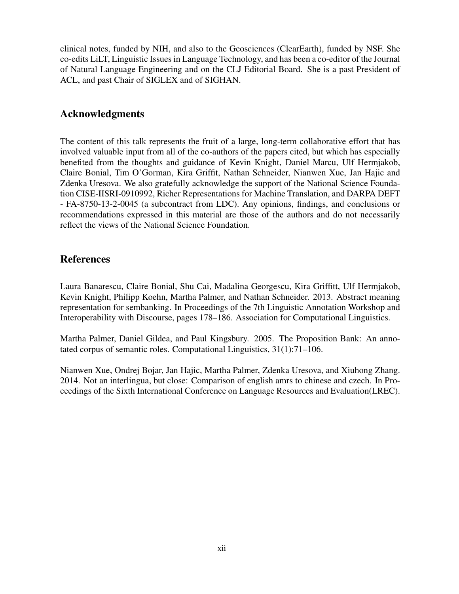clinical notes, funded by NIH, and also to the Geosciences (ClearEarth), funded by NSF. She co-edits LiLT, Linguistic Issues in Language Technology, and has been a co-editor of the Journal of Natural Language Engineering and on the CLJ Editorial Board. She is a past President of ACL, and past Chair of SIGLEX and of SIGHAN.

### Acknowledgments

The content of this talk represents the fruit of a large, long-term collaborative effort that has involved valuable input from all of the co-authors of the papers cited, but which has especially benefited from the thoughts and guidance of Kevin Knight, Daniel Marcu, Ulf Hermjakob, Claire Bonial, Tim O'Gorman, Kira Griffit, Nathan Schneider, Nianwen Xue, Jan Hajic and Zdenka Uresova. We also gratefully acknowledge the support of the National Science Foundation CISE-IISRI-0910992, Richer Representations for Machine Translation, and DARPA DEFT - FA-8750-13-2-0045 (a subcontract from LDC). Any opinions, findings, and conclusions or recommendations expressed in this material are those of the authors and do not necessarily reflect the views of the National Science Foundation.

# References

Laura Banarescu, Claire Bonial, Shu Cai, Madalina Georgescu, Kira Griffitt, Ulf Hermjakob, Kevin Knight, Philipp Koehn, Martha Palmer, and Nathan Schneider. 2013. Abstract meaning representation for sembanking. In Proceedings of the 7th Linguistic Annotation Workshop and Interoperability with Discourse, pages 178–186. Association for Computational Linguistics.

Martha Palmer, Daniel Gildea, and Paul Kingsbury. 2005. The Proposition Bank: An annotated corpus of semantic roles. Computational Linguistics, 31(1):71–106.

Nianwen Xue, Ondrej Bojar, Jan Hajic, Martha Palmer, Zdenka Uresova, and Xiuhong Zhang. 2014. Not an interlingua, but close: Comparison of english amrs to chinese and czech. In Proceedings of the Sixth International Conference on Language Resources and Evaluation(LREC).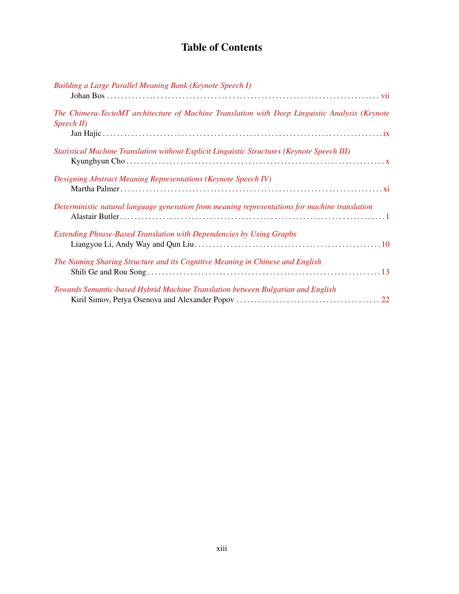# Table of Contents

| <b>Building a Large Parallel Meaning Bank (Keynote Speech I)</b>                                                        |  |
|-------------------------------------------------------------------------------------------------------------------------|--|
| The Chimera-TectoMT architecture of Machine Translation with Deep Linguistic Analysis (Keynote<br>$\textit{Speech II})$ |  |
| Statistical Machine Translation without Explicit Linguistic Structures (Keynote Speech III)                             |  |
| <b>Designing Abstract Meaning Representations (Keynote Speech IV)</b>                                                   |  |
| Deterministic natural language generation from meaning representations for machine translation                          |  |
| <b>Extending Phrase-Based Translation with Dependencies by Using Graphs</b>                                             |  |
| The Naming Sharing Structure and its Cognitive Meaning in Chinese and English                                           |  |
| Towards Semantic-based Hybrid Machine Translation between Bulgarian and English                                         |  |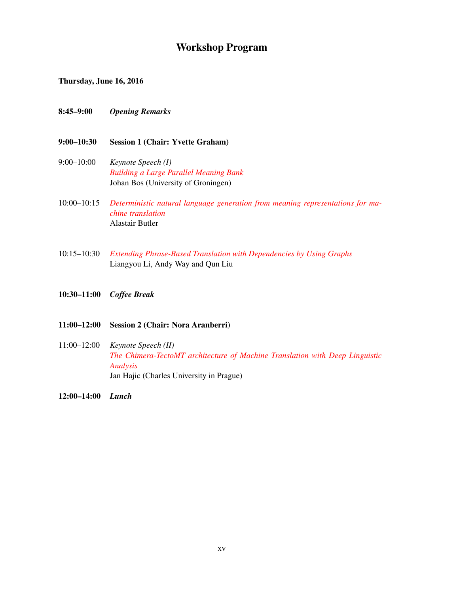# Workshop Program

Thursday, June 16, 2016

- 8:45–9:00 *Opening Remarks*
- 9:00–10:30 Session 1 (Chair: Yvette Graham)
- 9:00–10:00 *Keynote Speech (I) [Building a Large Parallel Meaning Bank](#page-6-0)* Johan Bos (University of Groningen)
- 10:00–10:15 *[Deterministic natural language generation from meaning representations for ma](#page-0-0)[chine translation](#page-0-0)* Alastair Butler
- 10:15–10:30 *[Extending Phrase-Based Translation with Dependencies by Using Graphs](#page-0-0)* Liangyou Li, Andy Way and Qun Liu
- 10:30–11:00 *Coffee Break*

#### 11:00–12:00 Session 2 (Chair: Nora Aranberri)

11:00–12:00 *Keynote Speech (II) [The Chimera-TectoMT architecture of Machine Translation with Deep Linguistic](#page-8-0) [Analysis](#page-8-0)* Jan Hajic (Charles University in Prague)

12:00–14:00 *Lunch*